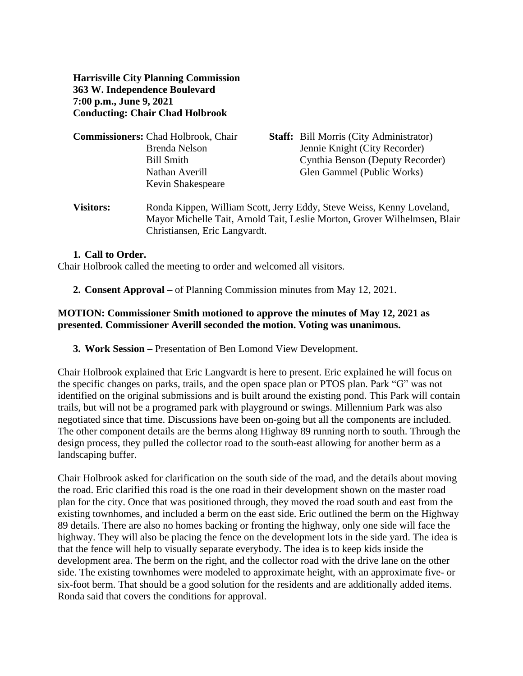**Harrisville City Planning Commission 363 W. Independence Boulevard 7:00 p.m., June 9, 2021 Conducting: Chair Chad Holbrook**

| <b>Commissioners: Chad Holbrook, Chair</b> | <b>Staff:</b> Bill Morris (City Administrator) |
|--------------------------------------------|------------------------------------------------|
| Brenda Nelson                              | Jennie Knight (City Recorder)                  |
| Bill Smith                                 | Cynthia Benson (Deputy Recorder)               |
| Nathan Averill                             | Glen Gammel (Public Works)                     |
| Kevin Shakespeare                          |                                                |
|                                            |                                                |

**Visitors:** Ronda Kippen, William Scott, Jerry Eddy, Steve Weiss, Kenny Loveland, Mayor Michelle Tait, Arnold Tait, Leslie Morton, Grover Wilhelmsen, Blair Christiansen, Eric Langvardt.

## **1. Call to Order.**

Chair Holbrook called the meeting to order and welcomed all visitors.

**2. Consent Approval –** of Planning Commission minutes from May 12, 2021.

## **MOTION: Commissioner Smith motioned to approve the minutes of May 12, 2021 as presented. Commissioner Averill seconded the motion. Voting was unanimous.**

**3. Work Session –** Presentation of Ben Lomond View Development.

Chair Holbrook explained that Eric Langvardt is here to present. Eric explained he will focus on the specific changes on parks, trails, and the open space plan or PTOS plan. Park "G" was not identified on the original submissions and is built around the existing pond. This Park will contain trails, but will not be a programed park with playground or swings. Millennium Park was also negotiated since that time. Discussions have been on-going but all the components are included. The other component details are the berms along Highway 89 running north to south. Through the design process, they pulled the collector road to the south-east allowing for another berm as a landscaping buffer.

Chair Holbrook asked for clarification on the south side of the road, and the details about moving the road. Eric clarified this road is the one road in their development shown on the master road plan for the city. Once that was positioned through, they moved the road south and east from the existing townhomes, and included a berm on the east side. Eric outlined the berm on the Highway 89 details. There are also no homes backing or fronting the highway, only one side will face the highway. They will also be placing the fence on the development lots in the side yard. The idea is that the fence will help to visually separate everybody. The idea is to keep kids inside the development area. The berm on the right, and the collector road with the drive lane on the other side. The existing townhomes were modeled to approximate height, with an approximate five- or six-foot berm. That should be a good solution for the residents and are additionally added items. Ronda said that covers the conditions for approval.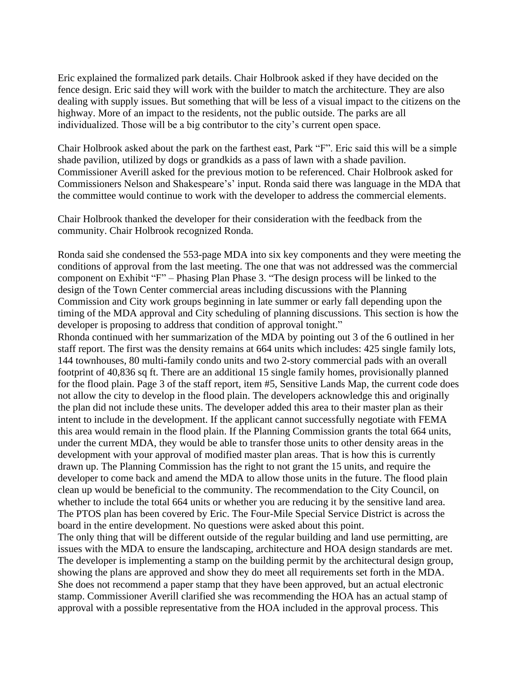Eric explained the formalized park details. Chair Holbrook asked if they have decided on the fence design. Eric said they will work with the builder to match the architecture. They are also dealing with supply issues. But something that will be less of a visual impact to the citizens on the highway. More of an impact to the residents, not the public outside. The parks are all individualized. Those will be a big contributor to the city's current open space.

Chair Holbrook asked about the park on the farthest east, Park "F". Eric said this will be a simple shade pavilion, utilized by dogs or grandkids as a pass of lawn with a shade pavilion. Commissioner Averill asked for the previous motion to be referenced. Chair Holbrook asked for Commissioners Nelson and Shakespeare's' input. Ronda said there was language in the MDA that the committee would continue to work with the developer to address the commercial elements.

Chair Holbrook thanked the developer for their consideration with the feedback from the community. Chair Holbrook recognized Ronda.

Ronda said she condensed the 553-page MDA into six key components and they were meeting the conditions of approval from the last meeting. The one that was not addressed was the commercial component on Exhibit "F" – Phasing Plan Phase 3. "The design process will be linked to the design of the Town Center commercial areas including discussions with the Planning Commission and City work groups beginning in late summer or early fall depending upon the timing of the MDA approval and City scheduling of planning discussions. This section is how the developer is proposing to address that condition of approval tonight."

Rhonda continued with her summarization of the MDA by pointing out 3 of the 6 outlined in her staff report. The first was the density remains at 664 units which includes: 425 single family lots, 144 townhouses, 80 multi-family condo units and two 2-story commercial pads with an overall footprint of 40,836 sq ft. There are an additional 15 single family homes, provisionally planned for the flood plain. Page 3 of the staff report, item #5, Sensitive Lands Map, the current code does not allow the city to develop in the flood plain. The developers acknowledge this and originally the plan did not include these units. The developer added this area to their master plan as their intent to include in the development. If the applicant cannot successfully negotiate with FEMA this area would remain in the flood plain. If the Planning Commission grants the total 664 units, under the current MDA, they would be able to transfer those units to other density areas in the development with your approval of modified master plan areas. That is how this is currently drawn up. The Planning Commission has the right to not grant the 15 units, and require the developer to come back and amend the MDA to allow those units in the future. The flood plain clean up would be beneficial to the community. The recommendation to the City Council, on whether to include the total 664 units or whether you are reducing it by the sensitive land area. The PTOS plan has been covered by Eric. The Four-Mile Special Service District is across the board in the entire development. No questions were asked about this point.

The only thing that will be different outside of the regular building and land use permitting, are issues with the MDA to ensure the landscaping, architecture and HOA design standards are met. The developer is implementing a stamp on the building permit by the architectural design group, showing the plans are approved and show they do meet all requirements set forth in the MDA. She does not recommend a paper stamp that they have been approved, but an actual electronic stamp. Commissioner Averill clarified she was recommending the HOA has an actual stamp of approval with a possible representative from the HOA included in the approval process. This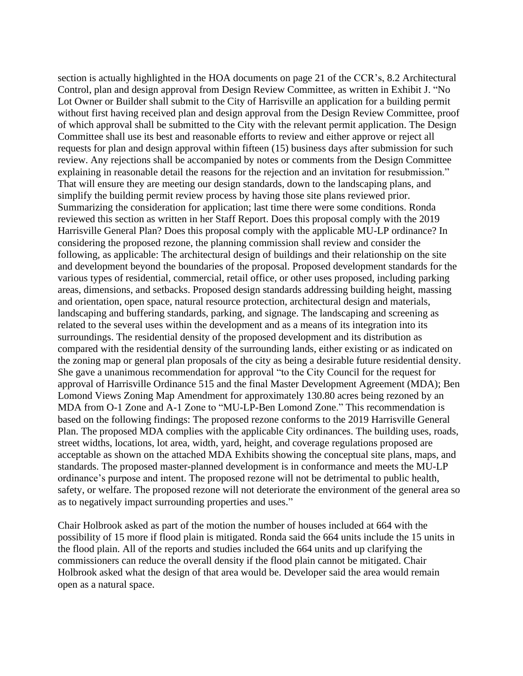section is actually highlighted in the HOA documents on page 21 of the CCR's, 8.2 Architectural Control, plan and design approval from Design Review Committee, as written in Exhibit J. "No Lot Owner or Builder shall submit to the City of Harrisville an application for a building permit without first having received plan and design approval from the Design Review Committee, proof of which approval shall be submitted to the City with the relevant permit application. The Design Committee shall use its best and reasonable efforts to review and either approve or reject all requests for plan and design approval within fifteen (15) business days after submission for such review. Any rejections shall be accompanied by notes or comments from the Design Committee explaining in reasonable detail the reasons for the rejection and an invitation for resubmission." That will ensure they are meeting our design standards, down to the landscaping plans, and simplify the building permit review process by having those site plans reviewed prior. Summarizing the consideration for application; last time there were some conditions. Ronda reviewed this section as written in her Staff Report. Does this proposal comply with the 2019 Harrisville General Plan? Does this proposal comply with the applicable MU-LP ordinance? In considering the proposed rezone, the planning commission shall review and consider the following, as applicable: The architectural design of buildings and their relationship on the site and development beyond the boundaries of the proposal. Proposed development standards for the various types of residential, commercial, retail office, or other uses proposed, including parking areas, dimensions, and setbacks. Proposed design standards addressing building height, massing and orientation, open space, natural resource protection, architectural design and materials, landscaping and buffering standards, parking, and signage. The landscaping and screening as related to the several uses within the development and as a means of its integration into its surroundings. The residential density of the proposed development and its distribution as compared with the residential density of the surrounding lands, either existing or as indicated on the zoning map or general plan proposals of the city as being a desirable future residential density. She gave a unanimous recommendation for approval "to the City Council for the request for approval of Harrisville Ordinance 515 and the final Master Development Agreement (MDA); Ben Lomond Views Zoning Map Amendment for approximately 130.80 acres being rezoned by an MDA from O-1 Zone and A-1 Zone to "MU-LP-Ben Lomond Zone." This recommendation is based on the following findings: The proposed rezone conforms to the 2019 Harrisville General Plan. The proposed MDA complies with the applicable City ordinances. The building uses, roads, street widths, locations, lot area, width, yard, height, and coverage regulations proposed are acceptable as shown on the attached MDA Exhibits showing the conceptual site plans, maps, and standards. The proposed master-planned development is in conformance and meets the MU-LP ordinance's purpose and intent. The proposed rezone will not be detrimental to public health, safety, or welfare. The proposed rezone will not deteriorate the environment of the general area so as to negatively impact surrounding properties and uses."

Chair Holbrook asked as part of the motion the number of houses included at 664 with the possibility of 15 more if flood plain is mitigated. Ronda said the 664 units include the 15 units in the flood plain. All of the reports and studies included the 664 units and up clarifying the commissioners can reduce the overall density if the flood plain cannot be mitigated. Chair Holbrook asked what the design of that area would be. Developer said the area would remain open as a natural space.